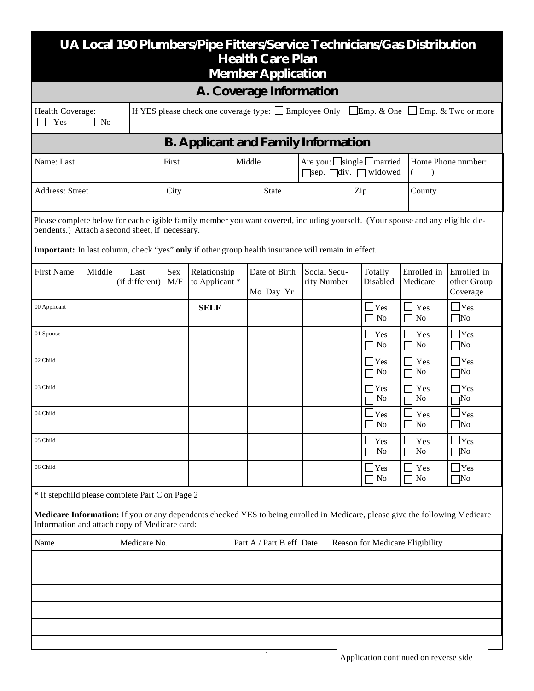| UA Local 190 Plumbers/Pipe Fitters/Service Technicians/Gas Distribution<br><b>Health Care Plan</b><br><b>Member Application</b>                                                                                                                                                        |                        |            |                               |  |                                                                                               |  |  |                                                    |                                 |                                   |                                        |                                   |
|----------------------------------------------------------------------------------------------------------------------------------------------------------------------------------------------------------------------------------------------------------------------------------------|------------------------|------------|-------------------------------|--|-----------------------------------------------------------------------------------------------|--|--|----------------------------------------------------|---------------------------------|-----------------------------------|----------------------------------------|-----------------------------------|
| A. Coverage Information                                                                                                                                                                                                                                                                |                        |            |                               |  |                                                                                               |  |  |                                                    |                                 |                                   |                                        |                                   |
| If YES please check one coverage type: $\Box$ Employee Only<br>$\Box$ Emp. & One $\Box$ Emp. & Two or more<br>Health Coverage:<br>Yes<br>No                                                                                                                                            |                        |            |                               |  |                                                                                               |  |  |                                                    |                                 |                                   |                                        |                                   |
| <b>B. Applicant and Family Information</b>                                                                                                                                                                                                                                             |                        |            |                               |  |                                                                                               |  |  |                                                    |                                 |                                   |                                        |                                   |
| Name: Last                                                                                                                                                                                                                                                                             | First                  | Middle     |                               |  | Are you: $\boxed{\_}\$ single $\boxed{\_}\$ married<br>$\Box$ sep. $\Box$ div. $\Box$ widowed |  |  | €                                                  | Home Phone number:              |                                   |                                        |                                   |
| Address: Street                                                                                                                                                                                                                                                                        |                        | State      |                               |  | Zip                                                                                           |  |  | County                                             |                                 |                                   |                                        |                                   |
| Please complete below for each eligible family member you want covered, including yourself. (Your spouse and any eligible de-<br>pendents.) Attach a second sheet, if necessary.<br>Important: In last column, check "yes" only if other group health insurance will remain in effect. |                        |            |                               |  |                                                                                               |  |  |                                                    |                                 |                                   |                                        |                                   |
| <b>First Name</b><br>Middle                                                                                                                                                                                                                                                            | Last<br>(if different) | Sex<br>M/F | Relationship<br>to Applicant* |  | Date of Birth<br>Mo Day Yr                                                                    |  |  | Social Secu-<br>Totally<br>rity Number<br>Disabled |                                 | Enrolled in<br>Medicare           | Enrolled in<br>other Group<br>Coverage |                                   |
| 00 Applicant                                                                                                                                                                                                                                                                           |                        |            | <b>SELF</b>                   |  |                                                                                               |  |  |                                                    |                                 | $\Box$ Yes<br>No<br>$\mathcal{L}$ | Yes<br>No                              | $\Box$ Yes<br>$\Box$ No           |
| 01 Spouse                                                                                                                                                                                                                                                                              |                        |            |                               |  |                                                                                               |  |  |                                                    |                                 | $\mathcal{L}$<br>Yes<br>No        | Yes<br>No                              | Yes<br>$\neg$ No                  |
| 02 Child                                                                                                                                                                                                                                                                               |                        |            |                               |  |                                                                                               |  |  |                                                    |                                 | Yes<br>$\sim$<br>No               | Yes<br>No                              | $\mathsf{T}$ Yes<br>$\neg$ No     |
| 03 Child                                                                                                                                                                                                                                                                               |                        |            |                               |  |                                                                                               |  |  |                                                    |                                 | Yes<br>No                         | Yes<br>No                              | <b>Yes</b><br>7No                 |
| 04 Child                                                                                                                                                                                                                                                                               |                        |            |                               |  |                                                                                               |  |  |                                                    |                                 | $\sqcup$ Yes<br>$\Box$ No         | Yes<br>$\Box$ No                       | 1 <sub>Yes</sub><br>$\Box$ No     |
| 05 Child                                                                                                                                                                                                                                                                               |                        |            |                               |  |                                                                                               |  |  |                                                    |                                 | $\Box$ Yes<br>$\Box$ No           | Yes<br>No                              | $\mathbf{\perp}$ Yes<br>$\neg$ No |
| 06 Child                                                                                                                                                                                                                                                                               |                        |            |                               |  |                                                                                               |  |  |                                                    |                                 | $\mathbf{L}$ Yes<br>No            | Yes<br>No                              | $\Box$ Yes<br>$\neg$ No           |
| * If stepchild please complete Part C on Page 2<br>Medicare Information: If you or any dependents checked YES to being enrolled in Medicare, please give the following Medicare<br>Information and attach copy of Medicare card:                                                       |                        |            |                               |  |                                                                                               |  |  |                                                    |                                 |                                   |                                        |                                   |
| Name                                                                                                                                                                                                                                                                                   | Medicare No.           |            |                               |  | Part A / Part B eff. Date                                                                     |  |  |                                                    | Reason for Medicare Eligibility |                                   |                                        |                                   |
|                                                                                                                                                                                                                                                                                        |                        |            |                               |  |                                                                                               |  |  |                                                    |                                 |                                   |                                        |                                   |
|                                                                                                                                                                                                                                                                                        |                        |            |                               |  |                                                                                               |  |  |                                                    |                                 |                                   |                                        |                                   |
|                                                                                                                                                                                                                                                                                        |                        |            |                               |  |                                                                                               |  |  |                                                    |                                 |                                   |                                        |                                   |
|                                                                                                                                                                                                                                                                                        |                        |            |                               |  |                                                                                               |  |  |                                                    |                                 |                                   |                                        |                                   |
|                                                                                                                                                                                                                                                                                        |                        |            |                               |  |                                                                                               |  |  |                                                    |                                 |                                   |                                        |                                   |